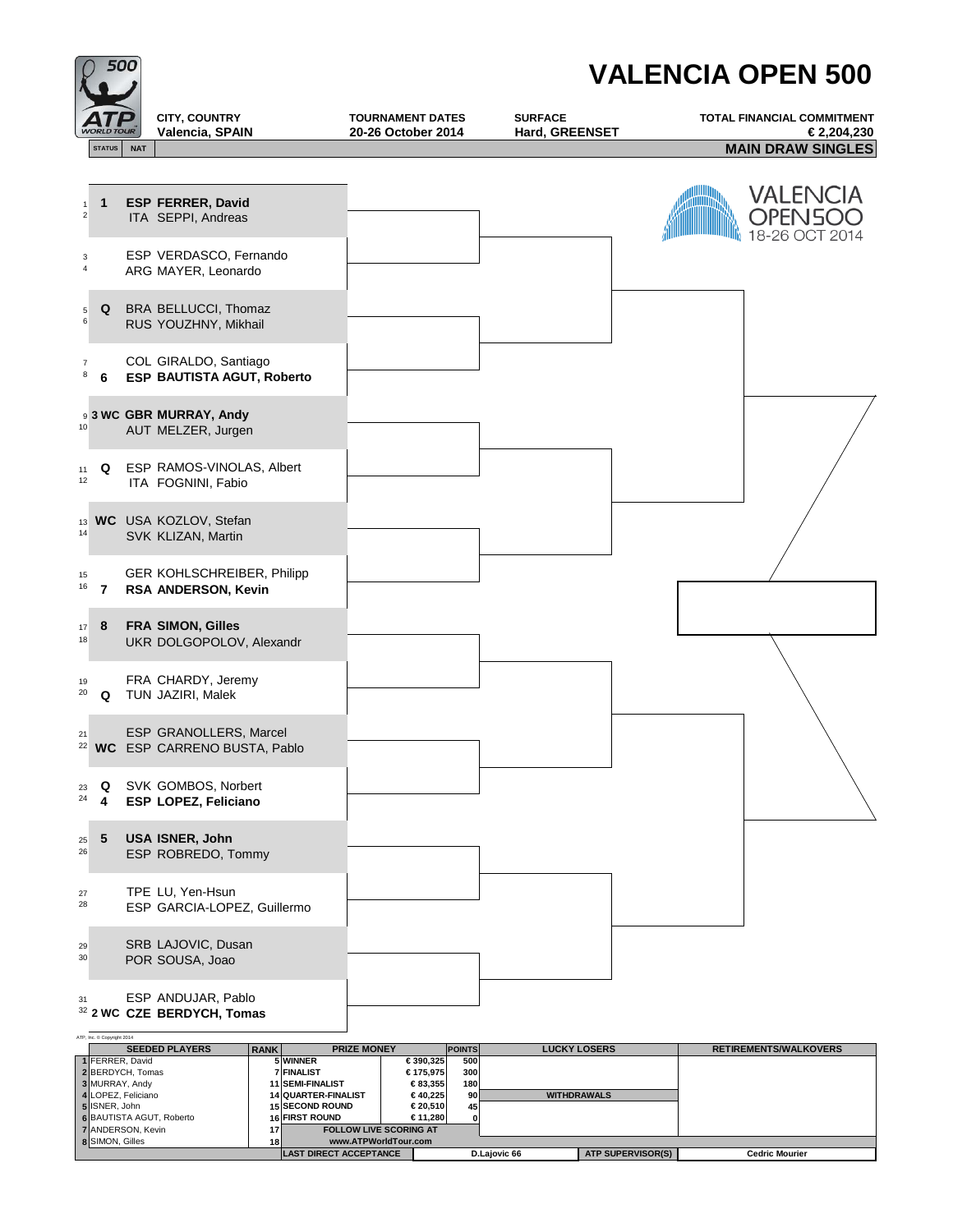|                                         | 500           |            |                                                            | <b>VALENCIA OPEN 500</b>                      |                                  |  |                                          |  |
|-----------------------------------------|---------------|------------|------------------------------------------------------------|-----------------------------------------------|----------------------------------|--|------------------------------------------|--|
|                                         |               | OUR        | CITY, COUNTRY<br>Valencia, SPAIN                           | <b>TOURNAMENT DATES</b><br>20-26 October 2014 | <b>SURFACE</b><br>Hard, GREENSET |  | TOTAL FINANCIAL COMMITMENT<br>€2,204,230 |  |
|                                         | <b>STATUS</b> | <b>NAT</b> |                                                            |                                               |                                  |  | <b>MAIN DRAW SINGLES</b>                 |  |
| $\mathbf{1}$<br>$\overline{\mathbf{c}}$ | $\mathbf 1$   |            | <b>ESP FERRER, David</b><br>ITA SEPPI, Andreas             |                                               |                                  |  | VALENCIA<br>PEN5OO<br>18-26 OCT 2014     |  |
| 3<br>4                                  |               |            | ESP VERDASCO, Fernando<br>ARG MAYER, Leonardo              |                                               |                                  |  |                                          |  |
| 5<br>6                                  | Q             |            | BRA BELLUCCI, Thomaz<br>RUS YOUZHNY, Mikhail               |                                               |                                  |  |                                          |  |
| $\boldsymbol{7}$<br>8                   | 6             |            | COL GIRALDO, Santiago<br><b>ESP BAUTISTA AGUT, Roberto</b> |                                               |                                  |  |                                          |  |
| 10                                      |               |            | 93 WC GBR MURRAY, Andy<br>AUT MELZER, Jurgen               |                                               |                                  |  |                                          |  |
| 11<br>12                                | Q             |            | ESP RAMOS-VINOLAS, Albert<br>ITA FOGNINI, Fabio            |                                               |                                  |  |                                          |  |
| 13<br>14                                |               |            | WC USA KOZLOV, Stefan<br>SVK KLIZAN, Martin                |                                               |                                  |  |                                          |  |
| 15<br>16                                | 7             |            | GER KOHLSCHREIBER, Philipp<br>RSA ANDERSON, Kevin          |                                               |                                  |  |                                          |  |
| 17<br>18                                | 8             |            | FRA SIMON, Gilles<br>UKR DOLGOPOLOV, Alexandr              |                                               |                                  |  |                                          |  |
| 19<br>20                                | Q             |            | FRA CHARDY, Jeremy<br>TUN JAZIRI, Malek                    |                                               |                                  |  |                                          |  |
| 21<br>22                                |               |            | ESP GRANOLLERS, Marcel<br>WC ESP CARRENO BUSTA, Pablo      |                                               |                                  |  |                                          |  |
| 23<br>24                                | Q<br>4        |            | SVK GOMBOS, Norbert<br>ESP LOPEZ, Feliciano                |                                               |                                  |  |                                          |  |
| 25<br>26                                | 5             |            | USA ISNER, John<br>ESP ROBREDO, Tommy                      |                                               |                                  |  |                                          |  |
| 27<br>28                                |               |            | TPE LU, Yen-Hsun<br>ESP GARCIA-LOPEZ, Guillermo            |                                               |                                  |  |                                          |  |
| 29<br>30                                |               |            | SRB LAJOVIC, Dusan<br>POR SOUSA, Joao                      |                                               |                                  |  |                                          |  |
| 31                                      |               |            | ESP ANDUJAR, Pablo<br>32 2 WC CZE BERDYCH, Tomas           |                                               |                                  |  |                                          |  |

| ATP. Inc. @ Copyright 2014     |                                      |                 |                               |                               |               |              |                          |                              |
|--------------------------------|--------------------------------------|-----------------|-------------------------------|-------------------------------|---------------|--------------|--------------------------|------------------------------|
|                                | <b>SEEDED PLAYERS</b><br><b>RANK</b> |                 | <b>PRIZE MONEY</b>            |                               | <b>POINTS</b> |              | <b>LUCKY LOSERS</b>      | <b>RETIREMENTS/WALKOVERS</b> |
|                                | 1 FERRER, David                      |                 | 5 WINNER                      | €390.325                      | <b>500</b>    |              |                          |                              |
|                                | 2 BERDYCH, Tomas                     |                 | <b>7 FINALIST</b>             | €175.975                      | 300           |              |                          |                              |
|                                | 3 MURRAY, Andy                       |                 | <b>11 SEMI-FINALIST</b>       | €83.355                       | 180           |              |                          |                              |
|                                | 4 LOPEZ, Feliciano                   |                 | <b>14 QUARTER-FINALIST</b>    | €40.225                       | 90 I          |              | <b>WITHDRAWALS</b>       |                              |
|                                | 5 ISNER, John                        |                 | <b>15 SECOND ROUND</b>        | €20.510                       | 45            |              |                          |                              |
|                                | <b>6 BAUTISTA AGUT, Roberto</b>      |                 | <b>16 FIRST ROUND</b>         | €11.280                       |               |              |                          |                              |
| <b>7</b> ANDERSON, Kevin<br>17 |                                      |                 |                               | <b>FOLLOW LIVE SCORING AT</b> |               |              |                          |                              |
|                                | <b>8</b> SIMON, Gilles               | 18 <sup>l</sup> | www.ATPWorldTour.com          |                               |               |              |                          |                              |
|                                |                                      |                 | <b>LAST DIRECT ACCEPTANCE</b> |                               |               | D.Lajovic 66 | <b>ATP SUPERVISOR(S)</b> | <b>Cedric Mourier</b>        |